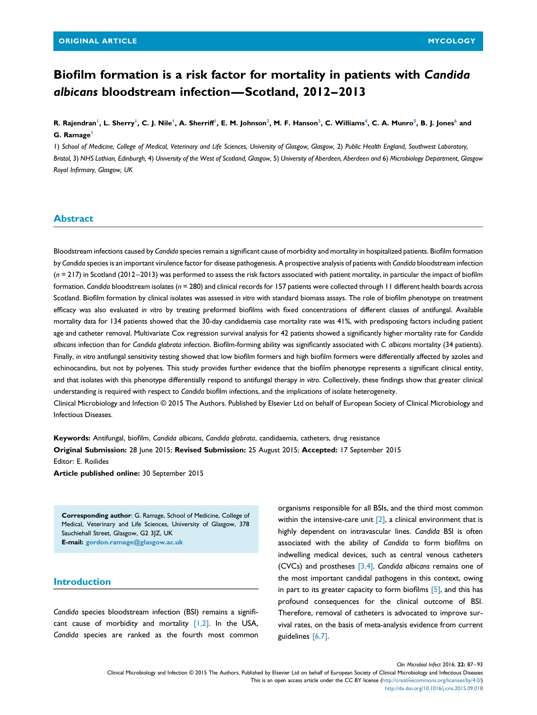# Biofilm formation is a risk factor for mortality in patients with Candida albicans bloodstream infection—Scotland, 2012–2013

R. Rajendran', L. Sherry', C. J. Nile', A. Sherriff', E. M. Johnson<sup>2</sup>, M. F. Hanson<sup>3</sup>, C. Williams<sup>4</sup>, C. A. Munro<sup>5</sup>, B. J. Jones<sup>6</sup> and G. Ramage

1) School of Medicine, College of Medical, Veterinary and Life Sciences, University of Glasgow, Glasgow, 2) Public Health England, Southwest Laboratory, Bristol, 3) NHS Lothian, Edinburgh, 4) University of the West of Scotland, Glasgow, 5) University of Aberdeen, Aberdeen and 6) Microbiology Department, Glasgow Royal Infirmary, Glasgow, UK

## Abstract

Bloodstream infections caused by Candida species remain a significant cause of morbidity and mortality in hospitalized patients. Biofilm formation by Candida species is an important virulence factor for disease pathogenesis. A prospective analysis of patients with Candida bloodstream infection (n = 217) in Scotland (2012–2013) was performed to assess the risk factors associated with patient mortality, in particular the impact of biofilm formation. Candida bloodstream isolates ( $n = 280$ ) and clinical records for 157 patients were collected through 11 different health boards across Scotland. Biofilm formation by clinical isolates was assessed in vitro with standard biomass assays. The role of biofilm phenotype on treatment efficacy was also evaluated in vitro by treating preformed biofilms with fixed concentrations of different classes of antifungal. Available mortality data for 134 patients showed that the 30-day candidaemia case mortality rate was 41%, with predisposing factors including patient age and catheter removal. Multivariate Cox regression survival analysis for 42 patients showed a significantly higher mortality rate for Candida albicans infection than for Candida glabrata infection. Biofilm-forming ability was significantly associated with C. albicans mortality (34 patients). Finally, in vitro antifungal sensitivity testing showed that low biofilm formers and high biofilm formers were differentially affected by azoles and echinocandins, but not by polyenes. This study provides further evidence that the biofilm phenotype represents a significant clinical entity, and that isolates with this phenotype differentially respond to antifungal therapy in vitro. Collectively, these findings show that greater clinical understanding is required with respect to Candida biofilm infections, and the implications of isolate heterogeneity. Clinical Microbiology and Infection © 2015 The Authors. Published by Elsevier Ltd on behalf of European Society of Clinical Microbiology and

Infectious Diseases.

Keywords: Antifungal, biofilm, Candida albicans, Candida glabrata, candidaemia, catheters, drug resistance Original Submission: 28 June 2015; Revised Submission: 25 August 2015; Accepted: 17 September 2015 Editor: E. Roilides

Article published online: 30 September 2015

Corresponding author: G. Ramage, School of Medicine, College of Medical, Veterinary and Life Sciences, University of Glasgow, 378 Sauchiehall Street, Glasgow, G2 3JZ, UK E-mail: [gordon.ramage@glasgow.ac.uk](mailto:gordon.ramage@glasgow.ac.uk)

## Introduction

Candida species bloodstream infection (BSI) remains a significant cause of morbidity and mortality  $[1,2]$ . In the USA, Candida species are ranked as the fourth most common organisms responsible for all BSIs, and the third most common within the intensive-care unit  $[2]$ , a clinical environment that is highly dependent on intravascular lines. Candida BSI is often associated with the ability of Candida to form biofilms on indwelling medical devices, such as central venous catheters (CVCs) and prostheses  $[3,4]$ . Candida albicans remains one of the most important candidal pathogens in this context, owing in part to its greater capacity to form biofilms  $[5]$ , and this has profound consequences for the clinical outcome of BSI. Therefore, removal of catheters is advocated to improve survival rates, on the basis of meta-analysis evidence from current guidelines [\[6,7\]](#page-6-0).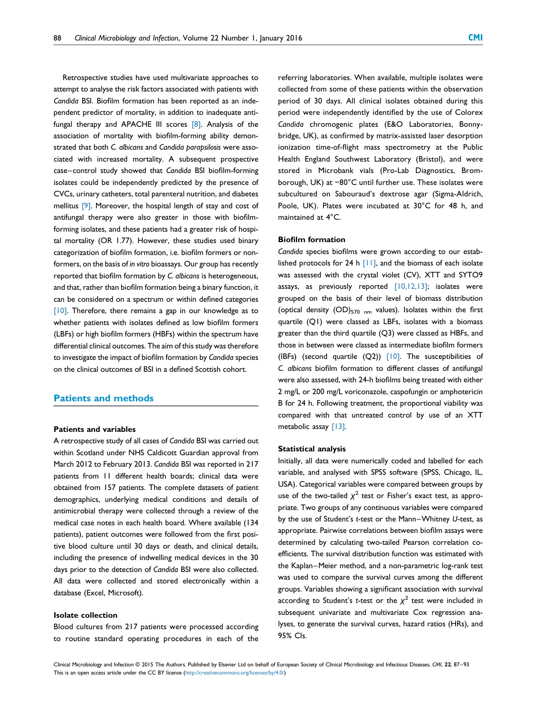Retrospective studies have used multivariate approaches to attempt to analyse the risk factors associated with patients with Candida BSI. Biofilm formation has been reported as an independent predictor of mortality, in addition to inadequate antifungal therapy and APACHE III scores [\[8\].](#page-6-0) Analysis of the association of mortality with biofilm-forming ability demonstrated that both C. albicans and Candida parapsilosis were associated with increased mortality. A subsequent prospective case–control study showed that Candida BSI biofilm-forming isolates could be independently predicted by the presence of CVCs, urinary catheters, total parenteral nutrition, and diabetes mellitus [\[9\].](#page-6-0) Moreover, the hospital length of stay and cost of antifungal therapy were also greater in those with biofilmforming isolates, and these patients had a greater risk of hospital mortality (OR 1.77). However, these studies used binary categorization of biofilm formation, i.e. biofilm formers or nonformers, on the basis of in vitro bioassays. Our group has recently reported that biofilm formation by C. albicans is heterogeneous, and that, rather than biofilm formation being a binary function, it can be considered on a spectrum or within defined categories  $[10]$ . Therefore, there remains a gap in our knowledge as to whether patients with isolates defined as low biofilm formers (LBFs) or high biofilm formers (HBFs) within the spectrum have differential clinical outcomes. The aim of this study was therefore to investigate the impact of biofilm formation by Candida species on the clinical outcomes of BSI in a defined Scottish cohort.

## Patients and methods

### Patients and variables

A retrospective study of all cases of Candida BSI was carried out within Scotland under NHS Caldicott Guardian approval from March 2012 to February 2013. Candida BSI was reported in 217 patients from 11 different health boards; clinical data were obtained from 157 patients. The complete datasets of patient demographics, underlying medical conditions and details of antimicrobial therapy were collected through a review of the medical case notes in each health board. Where available (134 patients), patient outcomes were followed from the first positive blood culture until 30 days or death, and clinical details, including the presence of indwelling medical devices in the 30 days prior to the detection of Candida BSI were also collected. All data were collected and stored electronically within a database (Excel, Microsoft).

#### Isolate collection

Blood cultures from 217 patients were processed according to routine standard operating procedures in each of the referring laboratories. When available, multiple isolates were collected from some of these patients within the observation period of 30 days. All clinical isolates obtained during this period were independently identified by the use of Colorex Candida chromogenic plates (E&O Laboratories, Bonnybridge, UK), as confirmed by matrix-assisted laser desorption ionization time-of-flight mass spectrometry at the Public Health England Southwest Laboratory (Bristol), and were stored in Microbank vials (Pro-Lab Diagnostics, Bromborough, UK) at −80°C until further use. These isolates were subcultured on Sabouraud's dextrose agar (Sigma-Aldrich, Poole, UK). Plates were incubated at 30°C for 48 h, and maintained at 4°C.

## Biofilm formation

Candida species biofilms were grown according to our established protocols for 24 h  $[11]$ , and the biomass of each isolate was assessed with the crystal violet (CV), XTT and SYTO9 assays, as previously reported  $[10,12,13]$ ; isolates were grouped on the basis of their level of biomass distribution (optical density  $(OD)_{570 \text{ nm}}$  values). Isolates within the first quartile (Q1) were classed as LBFs, isolates with a biomass greater than the third quartile (Q3) were classed as HBFs, and those in between were classed as intermediate biofilm formers (IBFs) (second quartile  $(Q2)$ )  $[10]$ . The susceptibilities of C. albicans biofilm formation to different classes of antifungal were also assessed, with 24-h biofilms being treated with either 2 mg/L or 200 mg/L voriconazole, caspofungin or amphotericin B for 24 h. Following treatment, the proportional viability was compared with that untreated control by use of an XTT metabolic assay [\[13\].](#page-6-0)

#### Statistical analysis

Initially, all data were numerically coded and labelled for each variable, and analysed with SPSS software (SPSS, Chicago, IL, USA). Categorical variables were compared between groups by use of the two-tailed  $\chi^2$  test or Fisher's exact test, as appropriate. Two groups of any continuous variables were compared by the use of Student's t-test or the Mann–Whitney U-test, as appropriate. Pairwise correlations between biofilm assays were determined by calculating two-tailed Pearson correlation coefficients. The survival distribution function was estimated with the Kaplan–Meier method, and a non-parametric log-rank test was used to compare the survival curves among the different groups. Variables showing a significant association with survival according to Student's t-test or the  $\chi^2$  test were included in subsequent univariate and multivariate Cox regression analyses, to generate the survival curves, hazard ratios (HRs), and 95% CIs.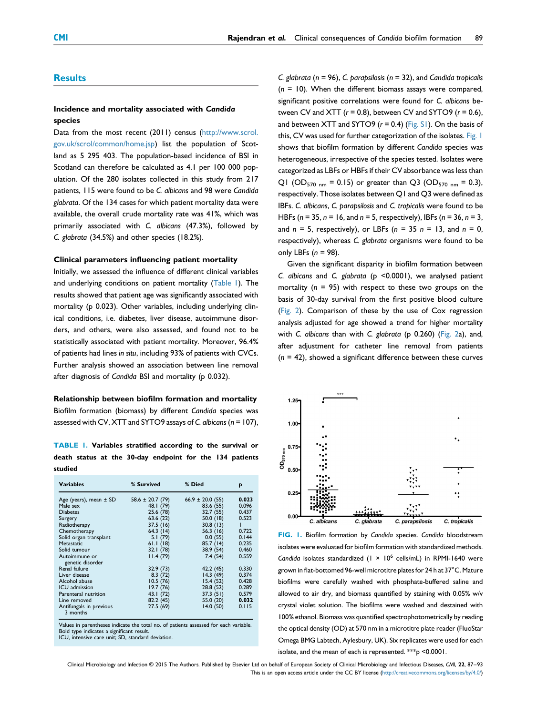## **Results**

# Incidence and mortality associated with Candida species

Data from the most recent (2011) census [\(http://www.scrol.](http://www.scrol.gov.uk/scrol/common/home.jsp) [gov.uk/scrol/common/home.jsp\)](http://www.scrol.gov.uk/scrol/common/home.jsp) list the population of Scotland as 5 295 403. The population-based incidence of BSI in Scotland can therefore be calculated as 4.1 per 100 000 population. Of the 280 isolates collected in this study from 217 patients, 115 were found to be C. albicans and 98 were Candida glabrata. Of the 134 cases for which patient mortality data were available, the overall crude mortality rate was 41%, which was primarily associated with C. albicans (47.3%), followed by C. glabrata (34.5%) and other species (18.2%).

## Clinical parameters influencing patient mortality

Initially, we assessed the influence of different clinical variables and underlying conditions on patient mortality (Table 1). The results showed that patient age was significantly associated with mortality (p 0.023). Other variables, including underlying clinical conditions, i.e. diabetes, liver disease, autoimmune disorders, and others, were also assessed, and found not to be statistically associated with patient mortality. Moreover, 96.4% of patients had lines in situ, including 93% of patients with CVCs. Further analysis showed an association between line removal after diagnosis of Candida BSI and mortality (p 0.032).

# Relationship between biofilm formation and mortality Biofilm formation (biomass) by different Candida species was

assessed with CV, XTT and SYTO9 assays of C. albicans ( $n = 107$ ),

TABLE 1. Variables stratified according to the survival or death status at the 30-day endpoint for the 134 patients studied

| <b>Variables</b>                    | % Survived           | % Died               | p     |
|-------------------------------------|----------------------|----------------------|-------|
| Age (years), mean $\pm$ SD          | $58.6 \pm 20.7$ (79) | $66.9 \pm 20.0$ (55) | 0.023 |
| Male sex                            | 48.1 (79)            | 83.6 (55)            | 0.096 |
| <b>Diabetes</b>                     | 25.6 (78)            | 32.7(55)             | 0.437 |
| Surgery                             | 63.6 (22)            | 50.0(18)             | 0.523 |
| Radiotherapy                        | 37.5(16)             | 30.8(13)             |       |
| Chemotherapy                        | 64.3(14)             | 56.3(16)             | 0.722 |
| Solid organ transplant              | 5.1(79)              | 0.0(55)              | 0.144 |
| Metastatic                          | 61.1(18)             | 85.7(14)             | 0.235 |
| Solid tumour                        | 32.1(78)             | 38.9 (54)            | 0.460 |
| Autoimmune or                       | 11.4(79)             | 7.4(54)              | 0.559 |
| genetic disorder                    |                      |                      |       |
| Renal failure                       | 32.9(73)             | 42.2 (45)            | 0.330 |
| Liver disease                       | 8.3(72)              | 14.3(49)             | 0.374 |
| Alcohol abuse                       | 10.5(76)             | 15.4(52)             | 0.428 |
| ICU admission                       | 19.7(76)             | 28.8 (52)            | 0.289 |
| Parenteral nutrition                | 43.I (72)            | 37.3(51)             | 0.579 |
| Line removed                        | 82.2 (45)            | 55.0 (20)            | 0.032 |
| Antifungals in previous<br>3 months | 27.5 (69)            | 14.0(50)             | 0.115 |

Values in parentheses indicate the total no. of patients assessed for each variable. Bold type indicates a significant result. ICU, intensive care unit; SD, standard deviation.

C. glabrata ( $n = 96$ ), C. parapsilosis ( $n = 32$ ), and Candida tropicalis  $(n = 10)$ . When the different biomass assays were compared, significant positive correlations were found for C. albicans between CV and XTT  $(r = 0.8)$ , between CV and SYTO9  $(r = 0.6)$ , and between XTT and SYTO9 ( $r = 0.4$ ) (Fig. S1). On the basis of this, CV was used for further categorization of the isolates. Fig. 1 shows that biofilm formation by different Candida species was heterogeneous, irrespective of the species tested. Isolates were categorized as LBFs or HBFs if their CV absorbance was less than Q1 (OD<sub>570 nm</sub> = 0.15) or greater than Q3 (OD<sub>570 nm</sub> = 0.3), respectively. Those isolates between Q1 and Q3 were defined as IBFs. C. albicans, C. parapsilosis and C. tropicalis were found to be HBFs ( $n = 35$ ,  $n = 16$ , and  $n = 5$ , respectively), IBFs ( $n = 36$ ,  $n = 3$ , and  $n = 5$ , respectively), or LBFs ( $n = 35$   $n = 13$ , and  $n = 0$ , respectively), whereas C. glabrata organisms were found to be only LBFs  $(n = 98)$ .

Given the significant disparity in biofilm formation between C. albicans and C. glabrata (p <0.0001), we analysed patient mortality ( $n = 95$ ) with respect to these two groups on the basis of 30-day survival from the first positive blood culture [\(Fig. 2\)](#page-3-0). Comparison of these by the use of Cox regression analysis adjusted for age showed a trend for higher mortality with C. albicans than with C. glabrata (p 0.260) ([Fig. 2a](#page-3-0)), and, after adjustment for catheter line removal from patients  $(n = 42)$ , showed a significant difference between these curves



FIG. 1. Biofilm formation by Candida species. Candida bloodstream isolates were evaluated for biofilm formation with standardized methods. Candida isolates standardized  $(1 \times 10^6 \text{ cells/mL})$  in RPMI-1640 were grown in flat-bottomed 96-well microtitre plates for 24 h at 37°C. Mature biofilms were carefully washed with phosphate-buffered saline and allowed to air dry, and biomass quantified by staining with 0.05% w/v crystal violet solution. The biofilms were washed and destained with 100% ethanol. Biomass was quantified spectrophotometrically by reading the optical density (OD) at 570 nm in a microtitre plate reader (FluoStar Omega BMG Labtech, Aylesbury, UK). Six replicates were used for each isolate, and the mean of each is represented. \*\*\* p <0.0001.

Clinical Microbiology and Infection © 2015 The Authors. Published by Elsevier Ltd on behalf of European Society of Clinical Microbiology and Infectious Diseases, CMI, 22, 87–93 This is an open access article under the CC BY license [\(http://creativecommons.org/licenses/by/4.0/\)](http://creativecommons.org/licenses/by/4.�0/)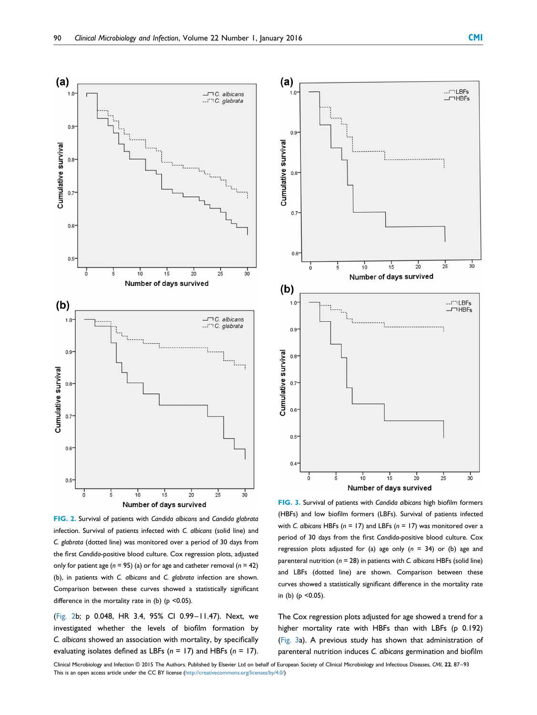<span id="page-3-0"></span>

FIG. 2. Survival of patients with Candida albicans and Candida glabrata infection. Survival of patients infected with C. albicans (solid line) and C. glabrata (dotted line) was monitored over a period of 30 days from the first Candida-positive blood culture. Cox regression plots, adjusted only for patient age ( $n = 95$ ) (a) or for age and catheter removal ( $n = 42$ ) (b), in patients with C. albicans and C. glabrata infection are shown. Comparison between these curves showed a statistically significant difference in the mortality rate in (b) ( $p$  <0.05).

(Fig. 2b; p 0.048, HR 3.4, 95% CI 0.99–11.47). Next, we investigated whether the levels of biofilm formation by C. albicans showed an association with mortality, by specifically evaluating isolates defined as LBFs ( $n = 17$ ) and HBFs ( $n = 17$ ).



FIG. 3. Survival of patients with Candida albicans high biofilm formers (HBFs) and low biofilm formers (LBFs). Survival of patients infected with C. albicans HBFs ( $n = 17$ ) and LBFs ( $n = 17$ ) was monitored over a period of 30 days from the first Candida-positive blood culture. Cox regression plots adjusted for (a) age only  $(n = 34)$  or (b) age and parenteral nutrition ( $n = 28$ ) in patients with C. albicans HBFs (solid line) and LBFs (dotted line) are shown. Comparison between these curves showed a statistically significant difference in the mortality rate in (b) ( $p$  <0.05).

The Cox regression plots adjusted for age showed a trend for a higher mortality rate with HBFs than with LBFs (p 0.192) (Fig. 3a). A previous study has shown that administration of parenteral nutrition induces C. albicans germination and biofilm

Clinical Microbiology and Infection © 2015 The Authors. Published by Elsevier Ltd on behalf of European Society of Clinical Microbiology and Infectious Diseases, CMI, 22, 87–93 This is an open access article under the CC BY license ([http://creativecommons.org/licenses/by/4.0/](http://creativecommons.org/licenses/by/4.�0/))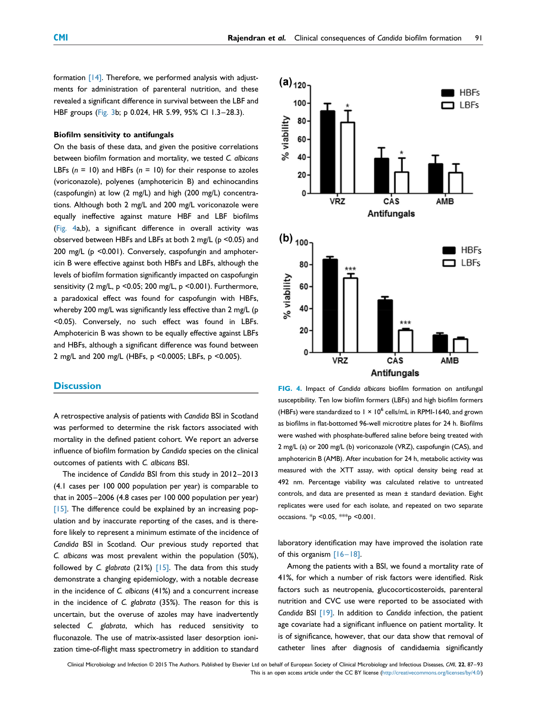<span id="page-4-0"></span>formation [\[14\].](#page-6-0) Therefore, we performed analysis with adjustments for administration of parenteral nutrition, and these revealed a significant difference in survival between the LBF and HBF groups ([Fig. 3b](#page-3-0); p 0.024, HR 5.99, 95% CI 1.3–28.3).

## Biofilm sensitivity to antifungals

On the basis of these data, and given the positive correlations between biofilm formation and mortality, we tested C. albicans LBFs ( $n = 10$ ) and HBFs ( $n = 10$ ) for their response to azoles (voriconazole), polyenes (amphotericin B) and echinocandins (caspofungin) at low (2 mg/L) and high (200 mg/L) concentrations. Although both 2 mg/L and 200 mg/L voriconazole were equally ineffective against mature HBF and LBF biofilms (Fig. 4a,b), a significant difference in overall activity was observed between HBFs and LBFs at both 2 mg/L (p <0.05) and 200 mg/L (p <0.001). Conversely, caspofungin and amphotericin B were effective against both HBFs and LBFs, although the levels of biofilm formation significantly impacted on caspofungin sensitivity (2 mg/L, p <0.05; 200 mg/L, p <0.001). Furthermore, a paradoxical effect was found for caspofungin with HBFs, whereby 200 mg/L was significantly less effective than 2 mg/L (p <0.05). Conversely, no such effect was found in LBFs. Amphotericin B was shown to be equally effective against LBFs and HBFs, although a significant difference was found between 2 mg/L and 200 mg/L (HBFs, p <0.0005; LBFs, p <0.005).

## **Discussion**

A retrospective analysis of patients with Candida BSI in Scotland was performed to determine the risk factors associated with mortality in the defined patient cohort. We report an adverse influence of biofilm formation by Candida species on the clinical outcomes of patients with C. albicans BSI.

The incidence of Candida BSI from this study in 2012–2013 (4.1 cases per 100 000 population per year) is comparable to that in 2005–2006 (4.8 cases per 100 000 population per year)  $[15]$ . The difference could be explained by an increasing population and by inaccurate reporting of the cases, and is therefore likely to represent a minimum estimate of the incidence of Candida BSI in Scotland. Our previous study reported that C. albicans was most prevalent within the population (50%), followed by C. glabrata (21%)  $[15]$ . The data from this study demonstrate a changing epidemiology, with a notable decrease in the incidence of C. albicans (41%) and a concurrent increase in the incidence of C. glabrata (35%). The reason for this is uncertain, but the overuse of azoles may have inadvertently selected C. glabrata, which has reduced sensitivity to fluconazole. The use of matrix-assisted laser desorption ionization time-of-flight mass spectrometry in addition to standard



FIG. 4. Impact of Candida albicans biofilm formation on antifungal susceptibility. Ten low biofilm formers (LBFs) and high biofilm formers (HBFs) were standardized to  $1 \times 10^6$  cells/mL in RPMI-1640, and grown as biofilms in flat-bottomed 96-well microtitre plates for 24 h. Biofilms were washed with phosphate-buffered saline before being treated with 2 mg/L (a) or 200 mg/L (b) voriconazole (VRZ), caspofungin (CAS), and amphotericin B (AMB). After incubation for 24 h, metabolic activity was measured with the XTT assay, with optical density being read at 492 nm. Percentage viability was calculated relative to untreated controls, and data are presented as mean ± standard deviation. Eight replicates were used for each isolate, and repeated on two separate occasions. \*p <0.05, \*\*\*p <0.001.

laboratory identification may have improved the isolation rate of this organism [16–[18\].](#page-6-0)

Among the patients with a BSI, we found a mortality rate of 41%, for which a number of risk factors were identified. Risk factors such as neutropenia, glucocorticosteroids, parenteral nutrition and CVC use were reported to be associated with Candida BSI [\[19\]](#page-6-0). In addition to Candida infection, the patient age covariate had a significant influence on patient mortality. It is of significance, however, that our data show that removal of catheter lines after diagnosis of candidaemia significantly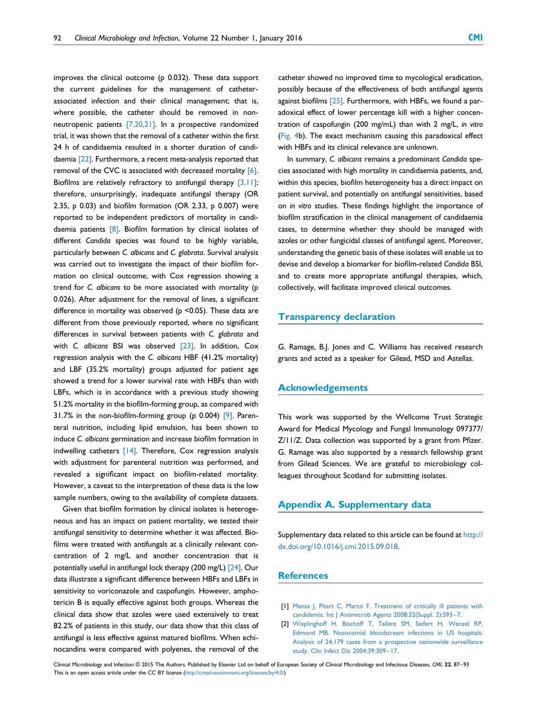<span id="page-5-0"></span>improves the clinical outcome (p 0.032). These data support the current guidelines for the management of catheterassociated infection and their clinical management; that is, where possible, the catheter should be removed in nonneutropenic patients [\[7,20,21\]](#page-6-0). In a prospective randomized trial, it was shown that the removal of a catheter within the first 24 h of candidaemia resulted in a shorter duration of candidaemia [\[22\].](#page-6-0) Furthermore, a recent meta-analysis reported that removal of the CVC is associated with decreased mortality [\[6\].](#page-6-0) Biofilms are relatively refractory to antifungal therapy  $[3,11]$ ; therefore, unsurprisingly, inadequate antifungal therapy (OR 2.35, p 0.03) and biofilm formation (OR 2.33, p 0.007) were reported to be independent predictors of mortality in candi-daemia patients [\[8\].](#page-6-0) Biofilm formation by clinical isolates of different Candida species was found to be highly variable, particularly between C. albicans and C. glabrata. Survival analysis was carried out to investigate the impact of their biofilm formation on clinical outcome, with Cox regression showing a trend for C. albicans to be more associated with mortality (p 0.026). After adjustment for the removal of lines, a significant difference in mortality was observed (p <0.05). These data are different from those previously reported, where no significant differences in survival between patients with C. glabrata and with C. albicans BSI was observed [\[23\].](#page-6-0) In addition, Cox regression analysis with the C. albicans HBF (41.2% mortality) and LBF (35.2% mortality) groups adjusted for patient age showed a trend for a lower survival rate with HBFs than with LBFs, which is in accordance with a previous study showing 51.2% mortality in the biofilm-forming group, as compared with 31.7% in the non-biofilm-forming group (p 0.004)  $[9]$ . Parenteral nutrition, including lipid emulsion, has been shown to induce C. albicans germination and increase biofilm formation in indwelling catheters [\[14\]](#page-6-0). Therefore, Cox regression analysis with adjustment for parenteral nutrition was performed, and revealed a significant impact on biofilm-related mortality. However, a caveat to the interpretation of these data is the low sample numbers, owing to the availability of complete datasets.

Given that biofilm formation by clinical isolates is heterogeneous and has an impact on patient mortality, we tested their antifungal sensitivity to determine whether it was affected. Biofilms were treated with antifungals at a clinically relevant concentration of 2 mg/L and another concentration that is potentially useful in antifungal lock therapy (200 mg/L) [\[24\]](#page-6-0). Our data illustrate a significant difference between HBFs and LBFs in sensitivity to voriconazole and caspofungin. However, amphotericin B is equally effective against both groups. Whereas the clinical data show that azoles were used extensively to treat 82.2% of patients in this study, our data show that this class of antifungal is less effective against matured biofilms. When echinocandins were compared with polyenes, the removal of the

catheter showed no improved time to mycological eradication, possibly because of the effectiveness of both antifungal agents against biofilms  $[25]$ . Furthermore, with HBFs, we found a paradoxical effect of lower percentage kill with a higher concentration of caspofungin (200 mg/mL) than with 2 mg/L, in vitro [\(Fig. 4](#page-4-0)b). The exact mechanism causing this paradoxical effect with HBFs and its clinical relevance are unknown.

In summary, C. albicans remains a predominant Candida species associated with high mortality in candidaemia patients, and, within this species, biofilm heterogeneity has a direct impact on patient survival, and potentially on antifungal sensitivities, based on in vitro studies. These findings highlight the importance of biofilm stratification in the clinical management of candidaemia cases, to determine whether they should be managed with azoles or other fungicidal classes of antifungal agent. Moreover, understanding the genetic basis of these isolates will enable us to devise and develop a biomarker for biofilm-related Candida BSI, and to create more appropriate antifungal therapies, which, collectively, will facilitate improved clinical outcomes.

## Transparency declaration

G. Ramage, B.J. Jones and C. Williams has received research grants and acted as a speaker for Gilead, MSD and Astellas.

### Acknowledgements

This work was supported by the Wellcome Trust Strategic Award for Medical Mycology and Fungal Immunology 097377/ Z/11/Z. Data collection was supported by a grant from Pfizer. G. Ramage was also supported by a research fellowship grant from Gilead Sciences. We are grateful to microbiology colleagues throughout Scotland for submitting isolates.

# Appendix A. Supplementary data

Supplementary data related to this article can be found at [http://](http://dx.doi.org/10.1016/j.cmi.2015.09.018) [dx.doi.org/10.1016/j.cmi.2015.09.018.](http://dx.doi.org/10.1016/j.cmi.2015.09.018)

# **References**

- [1] [Mensa J, Pitart C, Marco F. Treatment of critically ill patients with](http://refhub.elsevier.com/S1198-743X(15)00875-7/sref1) [candidemia. Int J Antimicrob Agents 2008;32\(Suppl. 2\):S93](http://refhub.elsevier.com/S1198-743X(15)00875-7/sref1)–7.
- [2] [Wisplinghoff H, Bischoff T, Tallent SM, Seifert H, Wenzel RP,](http://refhub.elsevier.com/S1198-743X(15)00875-7/sref2) [Edmond MB. Nosocomial bloodstream infections in US hospitals:](http://refhub.elsevier.com/S1198-743X(15)00875-7/sref2) [Analysis of 24,179 cases from a prospective nationwide surveillance](http://refhub.elsevier.com/S1198-743X(15)00875-7/sref2) [study. Clin Infect Dis 2004;39:309](http://refhub.elsevier.com/S1198-743X(15)00875-7/sref2)–17.

Clinical Microbiology and Infection © 2015 The Authors. Published by Elsevier Ltd on behalf of European Society of Clinical Microbiology and Infectious Diseases, CMI, 22, 87-93 This is an open access article under the CC BY license ([http://creativecommons.org/licenses/by/4.0/](http://creativecommons.org/licenses/by/4.�0/))